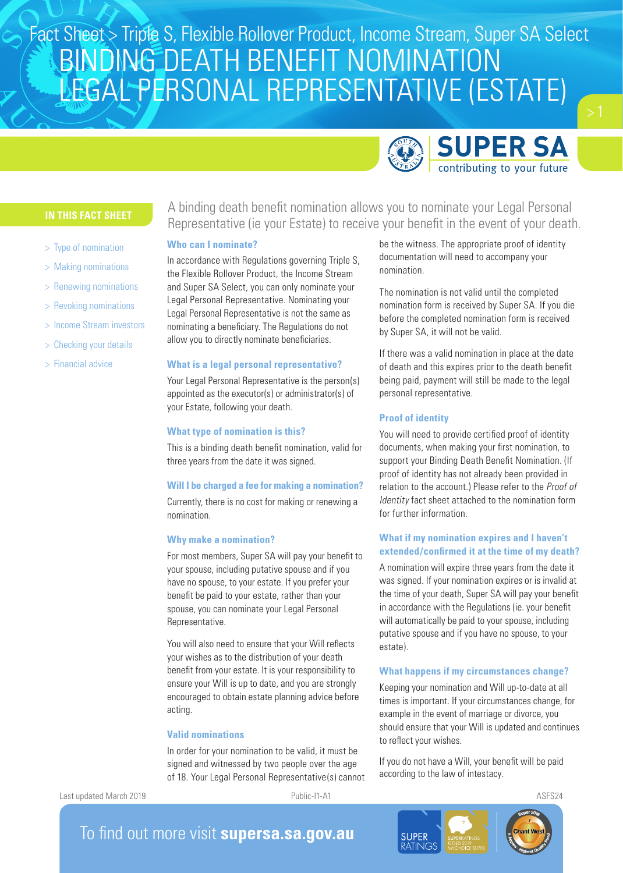# BINDING DEATH BENEFIT NOMINATION LEGAL PERSONAL REPRESENTATIVE (ESTATE) Fact Sheet > Triple S, Flexible Rollover Product, Income Stream, Super SA Select



be the witness. The appropriate proof of identity documentation will need to accompany your

The nomination is not valid until the completed nomination form is received by Super SA. If you die before the completed nomination form is received

If there was a valid nomination in place at the date of death and this expires prior to the death benefit being paid, payment will still be made to the legal

by Super SA, it will not be valid.

personal representative.

- > Type of nomination
- > Making nominations
- > Renewing nominations
- > Revoking nominations
- Income Stream investors
- > Checking your details
- > Financial advice

A binding death benefit nomination allows you to nominate your Legal Personal Representative (ie your Estate) to receive your benefit in the event of your death.

nomination.

# **Who can I nominate?**

In accordance with Regulations governing Triple S, the Flexible Rollover Product, the Income Stream and Super SA Select, you can only nominate your Legal Personal Representative. Nominating your Legal Personal Representative is not the same as nominating a beneficiary. The Regulations do not allow you to directly nominate beneficiaries.

# **What is a legal personal representative?**

Your Legal Personal Representative is the person(s) appointed as the executor(s) or administrator(s) of your Estate, following your death.

# **What type of nomination is this?**

This is a binding death benefit nomination, valid for three years from the date it was signed.

# **Will I be charged a fee for making a nomination?**

Currently, there is no cost for making or renewing a nomination.

# **Why make a nomination?**

For most members, Super SA will pay your benefit to your spouse, including putative spouse and if you have no spouse, to your estate. If you prefer your benefit be paid to your estate, rather than your spouse, you can nominate your Legal Personal Representative.

You will also need to ensure that your Will reflects your wishes as to the distribution of your death benefit from your estate. It is your responsibility to ensure your Will is up to date, and you are strongly encouraged to obtain estate planning advice before acting.

# **Valid nominations**

In order for your nomination to be valid, it must be signed and witnessed by two people over the age of 18. Your Legal Personal Representative(s) cannot

Last updated March 2019 **Public-I1-A1 Public-I1-A1** ASFS24



documents, when making your first nomination, to support your Binding Death Benefit Nomination. (If proof of identity has not already been provided in relation to the account.) Please refer to the Proof of Identity fact sheet attached to the nomination form for further information.

# **What if my nomination expires and I haven't extended/confirmed it at the time of my death?**

A nomination will expire three years from the date it was signed. If your nomination expires or is invalid at the time of your death, Super SA will pay your benefit in accordance with the Regulations (ie. your benefit will automatically be paid to your spouse, including putative spouse and if you have no spouse, to your estate).

# **What happens if my circumstances change?**

Keeping your nomination and Will up-to-date at all times is important. If your circumstances change, for example in the event of marriage or divorce, you should ensure that your Will is updated and continues to reflect your wishes.

If you do not have a Will, your benefit will be paid according to the law of intestacy.





To find out more visit **supersa.sa.gov.au**